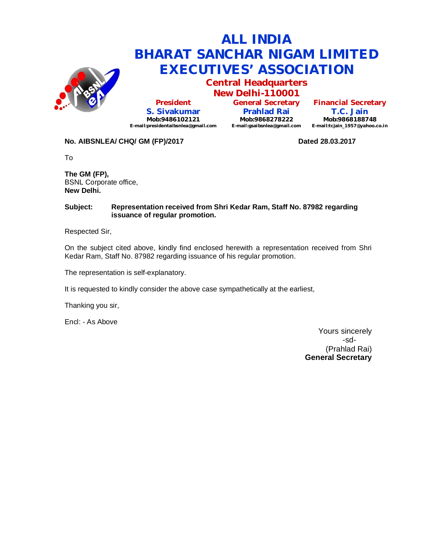

## **ALL INDIA BHARAT SANCHAR NIGAM LIMITED EXECUTIVES' ASSOCIATION**

**Central Headquarters New Delhi-110001**

**President S. Sivakumar Mob:9486102121 E-mail:presidentaibsnlea@gmail.com**

**General Secretary Prahlad Rai Mob:9868278222 E-mail:gsaibsnlea@gmail.com**

**Financial Secretary T.C. Jain Mob:9868188748 E-mail:tcjain\_1957@yahoo.co.in**

## **No. AIBSNLEA/ CHQ/ GM (FP)/2017 Dated 28.03.2017**

To

**The GM (FP),** BSNL Corporate office, **New Delhi.**

#### **Subject: Representation received from Shri Kedar Ram, Staff No. 87982 regarding issuance of regular promotion.**

Respected Sir,

On the subject cited above, kindly find enclosed herewith a representation received from Shri Kedar Ram, Staff No. 87982 regarding issuance of his regular promotion.

The representation is self-explanatory.

It is requested to kindly consider the above case sympathetically at the earliest,

Thanking you sir,

Encl: - As Above

Yours sincerely -sd- (Prahlad Rai) **General Secretary**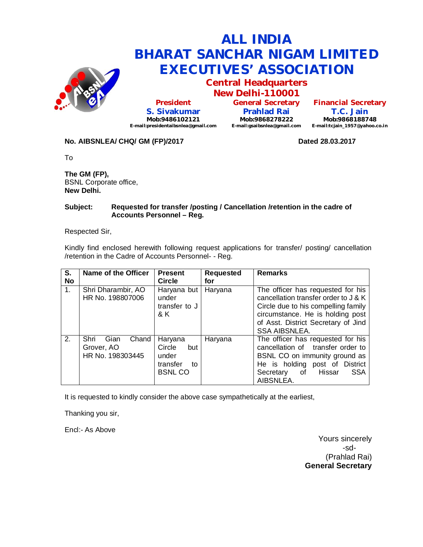

## **ALL INDIA BHARAT SANCHAR NIGAM LIMITED EXECUTIVES' ASSOCIATION**

**Central Headquarters New Delhi-110001**

**President S. Sivakumar Mob:9486102121 E-mail:presidentaibsnlea@gmail.com**

**General Secretary Prahlad Rai Mob:9868278222 E-mail:gsaibsnlea@gmail.com**

**Financial Secretary T.C. Jain Mob:9868188748 E-mail:tcjain\_1957@yahoo.co.in**

## No. AIBSNLEA/ CHQ/ GM (FP)/2017 **Dated 28.03.2017**

To

**The GM (FP),** BSNL Corporate office, **New Delhi.**

#### **Subject: Requested for transfer /posting / Cancellation /retention in the cadre of Accounts Personnel – Reg.**

Respected Sir,

Kindly find enclosed herewith following request applications for transfer/ posting/ cancellation /retention in the Cadre of Accounts Personnel- - Reg.

| S.<br><b>No</b> | Name of the Officer                                     | <b>Present</b><br><b>Circle</b>                                      | <b>Requested</b><br>for | <b>Remarks</b>                                                                                                                                                                                                      |
|-----------------|---------------------------------------------------------|----------------------------------------------------------------------|-------------------------|---------------------------------------------------------------------------------------------------------------------------------------------------------------------------------------------------------------------|
| $\mathbf{1}$ .  | Shri Dharambir, AO<br>HR No. 198807006                  | Haryana but<br>under<br>transfer to J<br>& K                         | Haryana                 | The officer has requested for his<br>cancellation transfer order to J & K<br>Circle due to his compelling family<br>circumstance. He is holding post<br>of Asst. District Secretary of Jind<br><b>SSA AIBSNLEA.</b> |
| 2.              | Shri<br>Chand<br>Gian<br>Grover, AO<br>HR No. 198303445 | Haryana<br>Circle<br>but<br>under<br>transfer<br>to<br><b>BSNLCO</b> | Haryana                 | The officer has requested for his<br>cancellation of transfer order to<br>BSNL CO on immunity ground as<br>He is holding post of District<br>of<br>Hissar<br><b>SSA</b><br>Secretary<br>AIBSNLEA.                   |

It is requested to kindly consider the above case sympathetically at the earliest,

Thanking you sir,

Encl:- As Above

Yours sincerely -sd- (Prahlad Rai) **General Secretary**